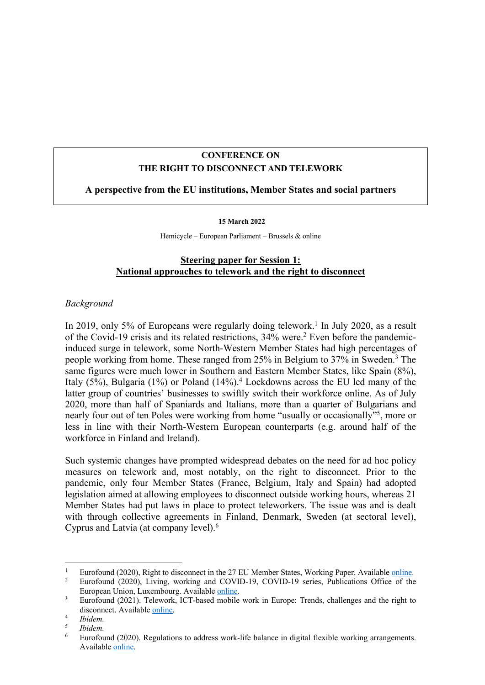# **CONFERENCE ON THE RIGHT TO DISCONNECT AND TELEWORK**

## **A perspective from the EU institutions, Member States and social partners**

#### **15 March 2022**

Hemicycle – European Parliament – Brussels & online

## **Steering paper for Session 1: National approaches to telework and the right to disconnect**

### *Background*

In 2019, only 5% of Europeans were regularly doing telework.<sup>1</sup> In July 2020, as a result of the Covid-19 crisis and its related restrictions, 34% were.2 Even before the pandemicinduced surge in telework, some North-Western Member States had high percentages of people working from home. These ranged from 25% in Belgium to 37% in Sweden.3 The same figures were much lower in Southern and Eastern Member States, like Spain (8%), Italy (5%), Bulgaria (1%) or Poland (14%).4 Lockdowns across the EU led many of the latter group of countries' businesses to swiftly switch their workforce online. As of July 2020, more than half of Spaniards and Italians, more than a quarter of Bulgarians and nearly four out of ten Poles were working from home "usually or occasionally"5 , more or less in line with their North-Western European counterparts (e.g. around half of the workforce in Finland and Ireland).

Such systemic changes have prompted widespread debates on the need for ad hoc policy measures on telework and, most notably, on the right to disconnect. Prior to the pandemic, only four Member States (France, Belgium, Italy and Spain) had adopted legislation aimed at allowing employees to disconnect outside working hours, whereas 21 Member States had put laws in place to protect teleworkers. The issue was and is dealt with through collective agreements in Finland, Denmark, Sweden (at sectoral level), Cyprus and Latvia (at company level).6

<sup>&</sup>lt;sup>1</sup> Eurofound (2020), Right to disconnect in the 27 EU Member States, Working Paper. Available <u>online</u>.<br><sup>2</sup> Eurofound (2020), Litting working and COVID-19, COVID-19 expires, Publications Office of the

<sup>2</sup> Eurofound (2020), Living, working and COVID-19, COVID-19 series, Publications Office of the European Union, Luxembourg. Available online.

<sup>&</sup>lt;sup>3</sup> Eurofound (2021). Telework, ICT-based mobile work in Europe: Trends, challenges and the right to disconnect. Available online. 4 *Ibidem.* 

<sup>5</sup> *Ibidem.*

<sup>6</sup> Eurofound (2020). Regulations to address work-life balance in digital flexible working arrangements. Available online.